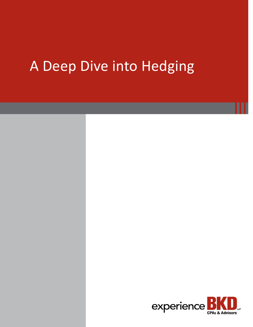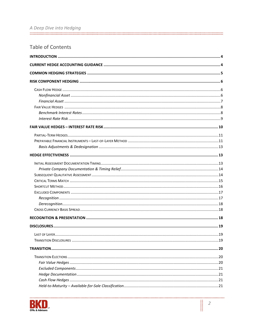| A Deep Dive into Hedging |  |  |
|--------------------------|--|--|
|                          |  |  |

# **Table of Contents**



. . . . . . . . . .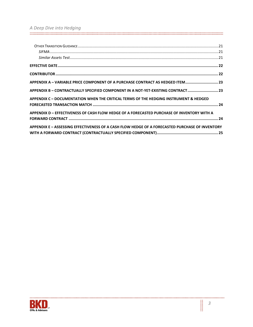|  |  |  |  | A Deep Dive into Hedging |  |
|--|--|--|--|--------------------------|--|
|--|--|--|--|--------------------------|--|

| APPENDIX A - VARIABLE PRICE COMPONENT OF A PURCHASE CONTRACT AS HEDGED ITEM 23                  |  |
|-------------------------------------------------------------------------------------------------|--|
| APPENDIX B-CONTRACTUALLY SPECIFIED COMPONENT IN A NOT-YET-EXISTING CONTRACT  23                 |  |
| APPENDIX C – DOCUMENTATION WHEN THE CRITICAL TERMS OF THE HEDGING INSTRUMENT & HEDGED           |  |
| APPENDIX D - EFFECTIVENESS OF CASH FLOW HEDGE OF A FORECASTED PURCHASE OF INVENTORY WITH A      |  |
| APPENDIX E - ASSESSING EFFECTIVENESS OF A CASH FLOW HEDGE OF A FORECASTED PURCHASE OF INVENTORY |  |

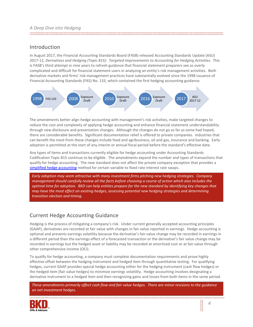## Introduction

In August 2017, the Financial Accounting Standards Board (FASB) released Accounting Standards Update (ASU) 2017-12, *Derivatives and Hedging (Topic 815): Targeted Improvements to Accounting for Hedging Activities*. This is FASB's third attempt in nine years to refresh guidance that financial statement preparers see as overly complicated and difficult for financial statement users in analyzing an entity's risk management activities. Both derivative markets and firms' risk management practices have substantially evolved since the 1998 issuance of Financial Accounting Standards (FAS) No. 133, which contained the first hedging accounting guidance.



The amendments better align hedge accounting with management's risk activities, make targeted changes to reduce the cost and complexity of applying hedge accounting and enhance financial statement understandability through new disclosure and presentation changes. Although the changes do not go as far as some had hoped, there are considerable benefits. Significant documentation relief is offered to private companies. Industries that can benefit the most from these changes include food and agribusiness, oil and gas, insurance and banking. Early adoption is permitted at the start of any interim or annual fiscal period before the standard's effective date.

Any types of items and transactions currently eligible for hedge accounting under Accounting Standards Codification Topic 815 continue to be eligible. The amendments expand the number and types of transactions that qualify for hedge accounting. The new standard does not affect the private company exception that provides a [simplified hedge accounting](https://www.bkd.com/articles/2014/private-company-reporting-simplified-hedge-accounting-for-certain-interest-rate-swaps.htm) method for certain variable to fixed rate interest rate swaps.

*Early adoption may seem attractive with many investment firms pitching new hedging strategies. Company management should carefully review all the facts before choosing a course of action which also includes the optimal time for adoption. BKD can help entities prepare for the new standard by identifying key changes that may have the most effect on existing hedges, assessing potential new hedging strategies and determining transition election and timing.* 

# Current Hedge Accounting Guidance

Hedging is the process of mitigating a company's risk. Under current generally accepted accounting principles (GAAP), derivatives are recorded at fair value with changes in fair value reported in earnings. Hedge accounting is optional and prevents earnings volatility because the derivative's fair value change may be recorded in earnings in a different period than the earnings effect of a forecasted transaction or the derivative's fair value change may be recorded in earnings but the hedged asset or liability may be recorded at amortized cost or at fair value through other comprehensive income (OCI).

To qualify for hedge accounting, a company must complete documentation requirements and prove highly effective offset between the hedging instrument and hedged item through quantitative testing. For qualifying hedges, current GAAP provides special hedge accounting either for the hedging instrument (cash flow hedges) or the hedged item (fair value hedges) to minimize earnings volatility. Hedge accounting involves designating a derivative instrument to a hedged item and then recognizing gains and losses from both items in the same period.

*These amendments primarily affect cash flow and fair value hedges. There are minor revisions to the guidance on net investment hedges.* 

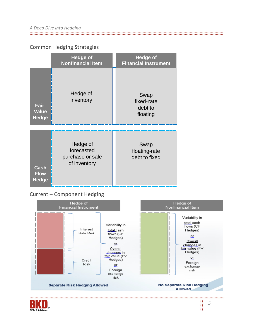# Common Hedging Strategies

|                                            | <b>Hedge of</b><br><b>Nonfinancial Item</b>                | <b>Hedge of</b><br><b>Financial Instrument</b> |
|--------------------------------------------|------------------------------------------------------------|------------------------------------------------|
| Fair<br><b>Value</b><br><b>Hedge</b>       | Hedge of<br>inventory                                      | Swap<br>fixed-rate<br>debt to<br>floating      |
| <b>Cash</b><br><b>Flow</b><br><b>Hedge</b> | Hedge of<br>forecasted<br>purchase or sale<br>of inventory | Swap<br>floating-rate<br>debt to fixed         |

# Current – Component Hedging



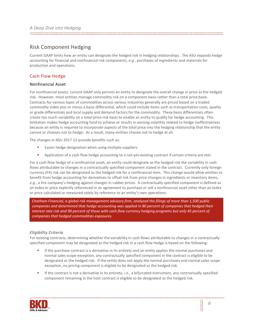# Risk Component Hedging

Current GAAP limits how an entity can designate the hedged risk in hedging relationships. The ASU expands hedge accounting for financial and nonfinancial risk components, *e.g.*, purchases of ingredients and materials for production and operations.

## Cash Flow Hedge

## Nonfinancial Asset

For nonfinancial assets, current GAAP only permits an entity to designate the overall change in price as the hedged risk. However, most entities manage commodity risk on a component basis rather than a total price basis. Contracts for various types of commodities across various industries generally are priced based on a traded commodity index plus or minus a basis differential, which could include items such as transportation costs, quality or grade differentials and local supply and demand factors for the commodity. These basis differentials often create too much variability on a total-price-risk basis to enable an entity to qualify for hedge accounting. This limitation makes hedge accounting hard to achieve or results in earning volatility related to hedge ineffectiveness because an entity is required to incorporate aspects of the total price into the hedging relationship that the entity cannot or chooses not to hedge. As a result, many entities choose not to hedge at all.

The changes in ASU 2017-12 provide benefits such as:

- Easier hedge designation when using multiple suppliers
- Application of a cash flow hedge accounting to a not-yet-existing contract if certain criteria are met

For a cash flow hedge of a nonfinancial asset, an entity could designate as the hedged risk the variability in cash flows attributable to changes in a contractually specified component stated in the contract. Currently only foreign currency (FX) risk can be designated as the hedged risk for a nonfinancial item. This change would allow entities to benefit from hedge accounting for derivatives to offset risk from price changes in ingredients or inventory items, *e.g.*, a tire company's hedging against changes in rubber prices. A contractually specified component is defined as an index or price explicitly referenced in an agreement to purchase or sell a nonfinancial asset other than an index or price calculated or measured solely by reference to an entity's own operations.

*Chatham Financial, a global risk management advisory firm, analyzed the filings of more than 1,500 public companies and determined that hedge accounting was applied in 80 percent of companies that hedged their interest rate risk and 90 percent of those with cash flow currency hedging programs but only 45 percent of companies that hedged commodities exposures.* 

## *Eligibility Criteria*

For existing contracts, determining whether the variability in cash flows attributable to changes in a contractually specified component may be designated as the hedged risk in a cash flow hedge is based on the following:

- If the purchase contract is a derivative in its entirety and an entity applies the normal purchases and normal sales scope exception, any contractually specified component in the contract is eligible to be designated as the hedged risk. If the entity does not apply the normal purchases and normal sales scope exception, no pricing component is eligible to be designated as the hedged risk.
- If the contract is not a derivative in its entirety, *i.e.*, a bifurcated instrument, any contractually specified component remaining in the host contract is eligible to be designated as the hedged risk.

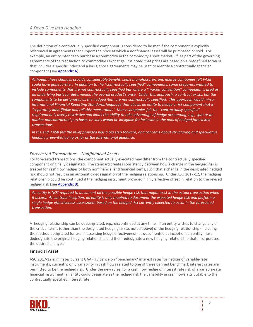The definition of a contractually specified component is considered to be met if the component is explicitly referenced in agreements that support the price at which a nonfinancial asset will be purchased or sold. For example, an entity intends to purchase a commodity in the commodity's spot market. If, as part of the governing agreements of the transaction or commodities exchange, it is noted that prices are based on a predefined formula that includes a specific index and a basis, those agreements may be used to identify a contractually specified component (see [Appendix A\)](#page-22-0).

*Although these changes provide considerable benefit, some manufacturers and energy companies felt FASB could have gone further. In addition to the "contractually specified" components, some preparers wanted to include components that are not contractually specified but where a "market convention" component is used as an underlying basis for determining the overall product's price. Under this approach, a contract exists, but the components to be designated as the hedged item are not contractually specified. This approach would mirror International Financial Reporting Standards language that allows an entity to hedge a risk component that is "separately identifiable and reliably measurable." Many companies felt the "contractually specified" requirement is overly restrictive and limits the ability to take advantage of hedge accounting, e.g., spot or atmarket noncontractual purchases or sales would be ineligible for inclusion in the pool of hedged forecasted transactions.* 

*In the end, FASB felt the relief provided was a big step forward, and concerns about structuring and speculative hedging prevented going as far as the international guidance.* 

#### *Forecasted Transactions – Nonfinancial Assets*

For forecasted transactions, the component actually executed may differ from the contractually specified component originally designated. The standard creates consistency between how a change in the hedged risk is treated for cash flow hedges of both nonfinancial and financial items, such that a change in the designated hedged risk should not result in an automatic dedesignation of the hedging relationship. Under ASU 2017-12, the hedging relationship could be continued if the hedging instrument provided highly effective offset in relation to the revised hedged risk (se[e Appendix B\)](#page-22-1).

*An entity is NOT required to document all the possible hedge risk that might exist in the actual transaction when it occurs. At contract inception, an entity is only required to document the expected hedge risk and perform a single hedge effectiveness assessment based on the hedged risk currently expected to occur in the forecasted transaction.* 

A hedging relationship can be dedesignated, *e.g.*, discontinued at any time. If an entity wishes to change any of the critical terms (other than the designated hedging risk as noted above) of the hedging relationship (including the method designated for use in assessing hedge effectiveness) as documented at inception, an entity must dedesignate the original hedging relationship and then redesignate a new hedging relationship that incorporates the desired changes.

#### Financial Asset

ASU 2017-12 eliminates current GAAP guidance on "benchmark" interest rates for hedges of variable-rate instruments; currently, only variability in cash flows related to one of three defined benchmark interest rates are permitted to be the hedged risk. Under the new rules, for a cash flow hedge of interest rate risk of a variable-rate financial instrument, an entity could designate as the hedged risk the variability in cash flows attributable to the contractually specified interest rate.

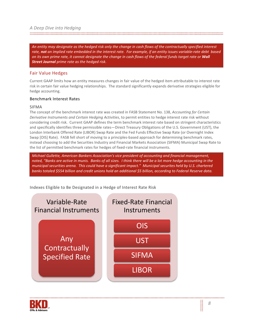#### 

*An entity may designate as the hedged risk only the change in cash flows of the contractually specified interest rate, not an implied rate embedded in the interest rate. For example, if an entity issues variable-rate debt based on its own prime rate, it cannot designate the change in cash flows of the federal funds target rate or Wall Street Journal prime rate as the hedged risk.*

## Fair Value Hedges

Current GAAP limits how an entity measures changes in fair value of the hedged item attributable to interest rate risk in certain fair value hedging relationships. The standard significantly expands derivative strategies eligible for hedge accounting.

#### Benchmark Interest Rates

#### SIFMA

The concept of the benchmark interest rate was created in FASB Statement No. 138, *Accounting for Certain Derivative Instruments and Certain Hedging Activities*, to permit entities to hedge interest rate risk without considering credit risk. Current GAAP defines the term benchmark interest rate based on stringent characteristics and specifically identifies three permissible rates—Direct Treasury Obligations of the U.S. Government (UST), the London Interbank Offered Rate (LIBOR) Swap Rate and the Fed Funds Effective Swap Rate (or Overnight Index Swap [OIS] Rate). FASB fell short of moving to a principles-based approach for determining benchmark rates, instead choosing to add the Securities Industry and Financial Markets Association (SIFMA) Municipal Swap Rate to the list of permitted benchmark rates for hedges of fixed-rate financial instruments.

*Michael Gullette, American Bankers Association's vice president of accounting and financial management, noted, "Banks are active in munis. Banks of all sizes. I think there will be a lot more hedge accounting in the municipal securities arena. This could have a significant impact." Municipal securites held by U.S. chartered banks totaled \$554 billion and credit unions hold an additional \$5 billion, according to Federal Reserve data.* 

Indexes Eligible to Be Designated in a Hedge of Interest Rate Risk



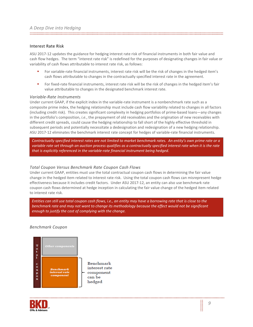#### Interest Rate Risk

ASU 2017-12 updates the guidance for hedging interest rate risk of financial instruments in both fair value and cash flow hedges. The term "interest rate risk" is redefined for the purposes of designating changes in fair value or variability of cash flows attributable to interest rate risk, as follows:

- For variable-rate financial instruments, interest rate risk will be the risk of changes in the hedged item's cash flows attributable to changes in the contractually specified interest rate in the agreement.
- For fixed-rate financial instruments, interest rate risk will be the risk of changes in the hedged item's fair value attributable to changes in the designated benchmark interest rate.

#### *Variable-Rate Instruments*

Under current GAAP, if the explicit index in the variable-rate instrument is a nonbenchmark rate such as a composite prime index, the hedging relationship must include cash flow variability related to changes in all factors (including credit risk). This creates significant complexity in hedging portfolios of prime-based loans—any changes in the portfolio's composition, *i.e.*, the prepayment of old receivables and the origination of new receivables with different credit spreads, could cause the hedging relationship to fall short of the highly effective threshold in subsequent periods and potentially necessitate a dedesignation and redesignation of a new hedging relationship. ASU 2017-12 eliminates the benchmark interest rate concept for hedges of variable-rate financial instruments.

*Contractually specified interest rates are not limited to market benchmark rates. An entity's own prime rate or a*  variable rate set through an auction process qualifies as a contractually specified interest rate when it is the rate *that is explicitly referenced in the variable-rate financial instrument being hedged.* 

#### *Total Coupon Versus Benchmark Rate Coupon Cash Flows*

Under current GAAP, entities must use the total contractual coupon cash flows in determining the fair value change in the hedged item related to interest rate risk. Using the total coupon cash flows can misrepresent hedge effectiveness because it includes credit factors. Under ASU 2017-12, an entity can also use benchmark rate coupon cash flows determined at hedge inception in calculating the fair value change of the hedged item related to interest rate risk.

*Entities can still use total coupon cash flows, i.e., an entity may have a borrowing rate that is close to the benchmark rate and may not want to change its methodology because the effect would not be significant enough to justify the cost of complying with the change.*

#### *Benchmark Coupon*



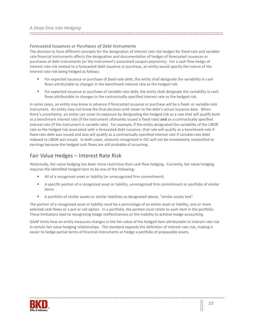| A Deep Dive into Hedging |  |
|--------------------------|--|
|                          |  |

#### *Forecasted Issuances or Purchases of Debt Instruments*

The decision to have different concepts for the designation of interest rate risk hedges for fixed-rate and variablerate financial instruments affects the designation and documentation of hedges of forecasted issuances or purchases of debt instruments (or the instrument's associated coupon payments). For a cash flow hedge of interest rate risk related to a forecasted debt issuance or purchase, an entity would specify the nature of the interest rate risk being hedged as follows:

- For expected issuance or purchase of *fixed-rate debt*, the entity shall designate the variability in cash flows attributable to changes in the benchmark interest rate as the hedged risk.
- For expected issuance or purchase of *variable-rate debt*, the entity shall designate the variability in cash flows attributable to changes in the contractually specified interest rate as the hedged risk.

In some cases, an entity may know in advance if forecasted issuance or purchase will be a fixed- or variable-rate instrument. An entity may not know the final decision until closer to the debt's actual issuance date. When there's uncertainty, an entity can cover its exposure by designating the hedged risk as a rate that will qualify both as a benchmark interest rate (if the instrument ultimately issued is fixed rate) **and** as a contractually specified interest rate (if the instrument is variable rate). For example, if the entity designated the variability of the LIBOR rate as the hedged risk associated with a forecasted debt issuance, that rate will qualify as a benchmark rate if fixed-rate debt was issued and also will qualify as a contractually specified interest rate if variable-rate debt indexed to LIBOR was issued. In both cases, amounts recognized in OCI will not be immediately reclassified to earnings because the hedged cash flows are still probable of occurring.

## Fair Value Hedges – Interest Rate Risk

Historically, fair value hedging has been more restrictive than cash flow hedging. Currently, fair value hedging requires the identified hedged item to be one of the following:

- All of a recognized asset or liability (or unrecognized firm commitment)
- A specific portion of a recognized asset or liability, unrecognized firm commitment or portfolio of similar items
- A portfolio of similar assets or similar liabilities as designated above, "similar assets test"

The portion of a recognized asset or liability must be a percentage of an entire asset or liability, one or more selected cash flows or a put or call option. In a portfolio, the portion must relate to each item in the portfolio. These limitations lead to recognizing hedge ineffectiveness or the inability to achieve hedge accounting.

GAAP limits how an entity measures changes in the fair value of the hedged item attributable to interest rate risk in certain fair value hedging relationships. The standard expands the definition of interest rate risk, making it easier to hedge partial terms of financial instruments or hedge a portfolio of prepayable assets.

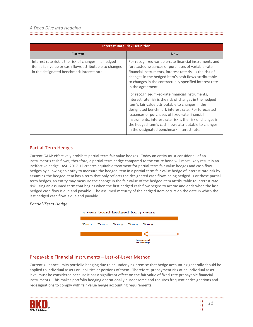| <b>Interest Rate Risk Definition</b>                                                                                                                           |                                                                                                                                                                                                                                                                                                                                                                                                                                            |  |  |  |
|----------------------------------------------------------------------------------------------------------------------------------------------------------------|--------------------------------------------------------------------------------------------------------------------------------------------------------------------------------------------------------------------------------------------------------------------------------------------------------------------------------------------------------------------------------------------------------------------------------------------|--|--|--|
| Current                                                                                                                                                        | <b>New</b>                                                                                                                                                                                                                                                                                                                                                                                                                                 |  |  |  |
| Interest rate risk is the risk of changes in a hedged<br>item's fair value or cash flows attributable to changes<br>in the designated benchmark interest rate. | For recognized variable-rate financial instruments and<br>forecasted issuances or purchases of variable-rate<br>financial instruments, interest rate risk is the risk of<br>changes in the hedged item's cash flows attributable<br>to changes in the contractually specified interest rate<br>in the agreement.                                                                                                                           |  |  |  |
|                                                                                                                                                                | For recognized fixed-rate financial instruments,<br>interest rate risk is the risk of changes in the hedged<br>item's fair value attributable to changes in the<br>designated benchmark interest rate. For forecasted<br>issuances or purchases of fixed-rate financial<br>instruments, interest rate risk is the risk of changes in<br>the hedged item's cash flows attributable to changes<br>in the designated benchmark interest rate. |  |  |  |

#### 

### Partial-Term Hedges

Current GAAP effectively prohibits partial-term fair value hedges. Today an entity must consider all of an instrument's cash flows; therefore, a partial-term hedge compared to the entire bond will most likely result in an ineffective hedge. ASU 2017-12 creates equitable treatment for partial-term fair value hedges and cash flow hedges by allowing an entity to measure the hedged item in a partial-term fair value hedge of interest rate risk by assuming the hedged item has a term that only reflects the designated cash flows being hedged. For these partialterm hedges, an entity may measure the change in the fair value of the hedged item attributable to interest rate risk using an assumed term that begins when the first hedged cash flow begins to accrue and ends when the last hedged cash flow is due and payable. The assumed maturity of the hedged item occurs on the date in which the last hedged cash flow is due and payable.

#### *Partial-Term Hedge*



## Prepayable Financial Instruments – Last-of-Layer Method

Current guidance limits portfolio hedging due to an underlying premise that hedge accounting generally should be applied to individual assets or liabilities or portions of them. Therefore, prepayment risk at an individual asset level must be considered because it has a significant effect on the fair value of fixed-rate prepayable financial instruments. This makes portfolio hedging operationally burdensome and requires frequent dedesignations and redesignations to comply with fair value hedge accounting requirements.

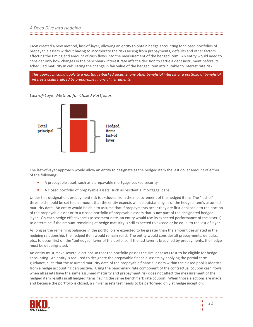#### 

FASB created a new method, last-of-layer, allowing an entity to obtain hedge accounting for closed portfolios of prepayable assets without having to incorporate the risks arising from prepayments, defaults and other factors affecting the timing and amount of cash flows into the measurement of the hedged item. An entity would need to consider only how changes in the benchmark interest rate affect a decision to settle a debt instrument before its scheduled maturity in calculating the change in fair value of the hedged item attributable to interest rate risk.

This approach could apply to a mortgage-backed security, any other beneficial interest or a portfolio of beneficial *interests collateralized by prepayable financial instruments.* 

*Last-of-Layer Method for Closed Portfolios*



The last-of-layer approach would allow an entity to designate as the hedged item the last dollar amount of either of the following:

- A prepayable asset, such as a prepayable mortgage-backed security
- A closed portfolio of prepayable assets, such as residential mortgage loans

Under this designation, prepayment risk is excluded from the measurement of the hedged item. The "last of" threshold should be set to an amount that the entity expects will be outstanding as of the hedged item's assumed maturity date. An entity would be able to assume that if prepayments occur they are first applicable to the portion of the prepayable asset or to a closed portfolio of prepayable assets that is **not** part of the designated hedged layer. On each hedge effectiveness assessment date, an entity would use its expected performance of the asset(s) to determine if the amount remaining at hedge maturity is still expected to exceed or be equal to the last of layer.

As long as the remaining balances in the portfolio are expected to be greater than the amount designated in the hedging relationship, the hedged item would remain valid. The entity would consider all prepayments, defaults, etc., to occur first on the "unhedged" layer of the porfolio. If the last layer is breached by prepayments, the hedge must be dedesignated.

An entity must make several elections so that the portfolio passes the similar assets test to be eligible for hedge accounting. An entity is required to designate the prepayable financial assets by applying the partial-term guidance, such that the assumed maturity date of the prepayable financial assets within the closed pool is identical from a hedge accounting perspective. Using the benchmark rate component of the contractual coupon cash flows when all assets have the same assumed maturity and prepayment risk does not affect the measurement of the hedged item results in all hedged items having the same benchmark rate coupon. When those elections are made, and because the portfolio is closed, a similar assets test needs to be performed only at hedge inception.

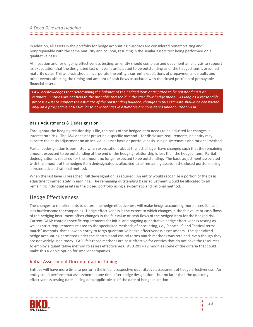In addition, all assets in the portfolio for hedge accounting purposes are considered nonamortizing and nonprepayable with the same maturity and coupon, resulting in the similar assets test being performed on a qualitative basis.

At inception and for ongoing effectiveness testing, an entity should complete and document an analysis to support its expectation that the designated last of layer is anticipated to be outstanding as of the hedged item's assumed maturity date. This analysis should incorporate the entity's current expectations of prepayments, defaults and other events affecting the timing and amount of cash flows associated with the closed portfolio of prepayable financial assets.

*FASB acknowledges that determining the balance of the hedged item anticipated to be outstanding is an estimate. Entities are not held to the probable threshold in the cash flow hedge model. As long as a reasonable process exists to support the estimate of the outstanding balance, changes in this estimate should be considered only on a prospective basis similar to how changes in estimates are considered under current GAAP.*

#### Basis Adjustments & Dedesignation

Throughout the hedging relationship's life, the basis of the hedged item needs to be adjusted for changes in interest rate risk. The ASU does not prescribe a specific method – for disclosure requirements, an entity may allocate the basis adjustment on an individual asset basis or portfolio basis using a systematic and rational method.

Partial dedesignation is permitted when expectations about the last of layer have changed such that the remaining amount expected to be outstanding at the end of the hedging relationship is less than the hedged item. Partial dedesignation is required for the amount no longer expected to be outstanding. The basis adjustment associated with the amount of the hedged item dedesignated is allocated to all remaining assets in the closed portfolio using a systematic and rational method.

When the last layer is breached, full dedesignation is required. An entity would recognize a portion of the basis adjustment immediately in earnings. The remaining outstanding basis adjustment would be allocated to all remaining individual assets in the closed portfolio using a systematic and rational method.

## Hedge Effectiveness

The changes to requirements to determine hedge effectiveness will make hedge accounting more accessible and less burdensome for companies. Hedge effectiveness is the extent to which changes in the fair value or cash flows of the hedging instrument offset changes in the fair value or cash flows of the hedged item for the hedged risk. Current GAAP contains specific requirements for initial and ongoing quantitative hedge effectiveness testing as well as strict requirements related to the specialized methods of accounting, *i.e.*, "shortcut" and "critical terms match" methods, that allow an entity to forgo quantitative hedge effectiveness assessments. The specialized hedge accounting permitted under the shortcut and critical terms match methods was retained, even though they are not widely used today. FASB felt those methods are cost-effective for entities that do not have the resources to employ a quantitative method to assess effectiveness. ASU 2017-12 modifies some of the criteria that could make this a viable option for smaller companies.

#### Initial Assessment Documentation Timing

Entities will have more time to perform the initial prospective quantitative assessment of hedge effectiveness. An entity could perform that assessment at any time after hedge designation—but no later than the quarterly effectiveness testing date—using data applicable as of the date of hedge inception.

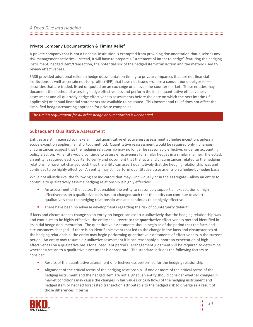| A Deep Dive into Hedging |  |
|--------------------------|--|
|                          |  |

#### Private Company Documentation & Timing Relief

A private company that is not a financial institution is exempted from providing documentation that discloses any risk management activities. Instead, it will have to prepare a "statement of intent to hedge" featuring the hedging instrument, hedged item/transaction, the potential risk of the hedged item/transaction and the method used to review effectiveness.

FASB provided additional relief on hedge documentation timing to private companies that are not financial institutions as well as certain not-for-profits (NFP) that have not issued—or are a conduit bond obligor for securities that are traded, listed or quoted on an exchange or an over-the-counter market. These entities may document the method of assessing hedge effectiveness and perform the initial quantitative effectiveness assessment and all quarterly hedge effectiveness assessments before the date on which the next interim (if applicable) or annual financial statements are available to be issued. This incremental relief does not affect the simplified hedge accounting approach for private companies.

#### *The timing requirement for all other hedge documentation is unchanged.*

#### Subsequent Qualitative Assessment

Entities are still required to make an initial quantitative effectiveness assessment at hedge inception, unless a scope exception applies, *i.e.*, shortcut method. Quantitative reassessment would be required only if changes in circumstances suggest that the hedging relationship may no longer be reasonably effective, under an accounting policy election. An entity would continue to assess effectiveness for similar hedges in a similar manner. If elected, an entity is required each quarter to verify and document that the facts and circumstances related to the hedging relationship have not changed such that the entity can assert qualitatively that the hedging relationship was and continues to be highly effective. An entity may still perform quantitative assessments on a hedge-by-hedge basis.

While not all-inclusive, the following are indicators that may—individually or in the aggregate—allow an entity to continue to qualitatively assert a hedging relationship is highly effective:

- An assessment of the factors that enabled the entity to reasonably support an expectation of high effectiveness on a qualitative basis has not changed such that the entity can continue to assert qualitatively that the hedging relationship was and continues to be highly effective.
- **There have been no adverse developments regarding the risk of counterparty default.**

If facts and circumstances change so an entity no longer can assert **qualitatively** that the hedging relationship was and continues to be highly effective, the entity shall revert to the **quantitative** effectiveness method identified in its initial hedge documentation. The quantitative assessments should begin as of the period that the facts and circumstances changed. If there is no identifiable event that led to the change in the facts and circumstances of the hedging relationship, the entity may begin performing quantitative assessments of effectiveness in the current period. An entity may resume a **qualitative** assessment if it can reasonably support an expectation of high effectiveness on a qualitative basis for subsequent periods. Management judgment will be required to determine whether a return to a qualitative assessment is approprate. The standard includes the following factors to consider:

- **EXECT** Results of the quantitative assessment of effectiveness performed for the hedging relationship
- Alignment of the critical terms of the hedging relationship. If one or more of the critical terms of the hedging instrument and the hedged item are not aligned, an entity should consider whether changes in market conditions may cause the changes in fair values or cash flows of the hedging instrument and hedged item or hedged forecasted transaction attributable to the hedged risk to diverge as a result of those differences in terms.

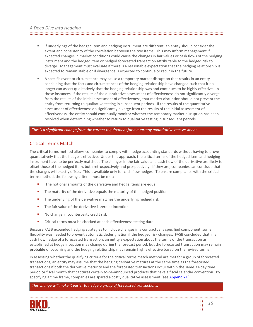- If underlyings of the hedged item and hedging instrument are different, an entity should consider the extent and consistency of the correlation between the two items. This may inform management if expected changes in market conditions could cause the changes in fair values or cash flows of the hedging instrument and the hedged item or hedged forecasted transaction attributable to the hedged risk to diverge. Management must evaluate if there is a reasonable expectation that the hedging relationship is expected to remain stable or if divergence is expected to continue or recur in the future.
- A specific event or circumstance may cause a temporary market disruption that results in an entity concluding that the facts and circumstances of the hedging relationship have changed such that it no longer can assert qualitatively that the hedging relationship was and continues to be highly effective. In those instances, if the results of the quantitative assessment of effectiveness do not significantly diverge from the results of the initial assessment of effectiveness, that market disruption should not prevent the entity from returning to qualitative testing in subsequent periods. If the results of the quantitative assessment of effectiveness do significantly diverge from the results of the initial assessment of effectiveness, the entity should continually monitor whether the temporary market disruption has been resolved when determining whether to return to qualitative testing in subsequent periods.

#### *This is a significant change from the current requirement for a quarterly quantitative reassessment.*

### Critical Terms Match

The critical terms method allows companies to comply with hedge accounting standards without having to prove quantitatively that the hedge is effective. Under this approach, the critical terms of the hedged item and hedging instrument have to be perfectly matched. The changes in the fair value and cash flow of the derivative are likely to offset those of the hedged item, both retrospectively and prospectively. If they are, companies can conclude that the changes will exactly offset. This is available only for cash flow hedges. To ensure compliance with the critical terms method, the following criteria must be met:

- The notional amounts of the derivative and hedge items are equal
- **The maturity of the derivative equals the maturity of the hedged position**
- **The underlying of the derivative matches the underlying hedged risk**
- **The fair value of the derivative is zero at inception**
- No change in counterparty credit risk
- **Critical terms must be checked at each effectiveness testing date**

Because FASB expanded hedging strategies to include changes in a contractually specified component, some flexibility was needed to prevent automatic dedesignation if the hedged risk changes. FASB concluded that in a cash flow hedge of a forecasted transaction, an entity's expectation about the terms of the transaction as established at hedge inception may change during the forecast period, but the forecasted transaction may remain **probable** of occurring and the hedging relationship may remain highly effective based on the revised terms.

In assessing whether the qualifying criteria for the critical terms match method are met for a group of forecasted transactions, an entity may assume that the hedging derivative matures at the same time as the forecasted transactions if both the derivative maturity and the forecasted transactions occur within the same 31-day time period **or** fiscal month that captures certain to-be-announced products that have a fiscal calendar convention. By specifying a time frame, companies are spared a costly qualitative assessment (see [Appendix E\)](#page-24-0).

#### *This change will make it easier to hedge a group of forecasted transactions.*

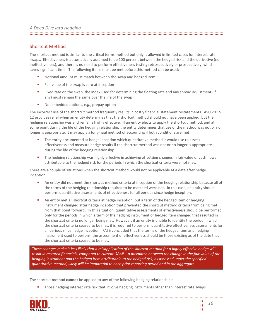| A Deep Dive into Hedging |  |
|--------------------------|--|
|                          |  |

## Shortcut Method

The shortcut method is similar to the critical terms method but only is allowed in limited cases for interest rate swaps. Effectiveness is automatically assumed to be 100 percent between the hedged risk and the derivative (no ineffectiveness), and there is no need to perform effectiveness testing retrospectively or prospectively, which saves significant time. The following items must be met before this method can be used:

- Notional amount must match between the swap and hedged item
- Fair value of the swap is zero at inception
- **Fixed rate on the swap, the index used for determining the floating rate and any spread adjustment (if** any) must remain the same over the life of the swap
- No embedded options, *e.g.*, prepay option

The incorrect use of the shortcut method frequently results in costly financial statement restatements. ASU 2017- 12 provides relief when an entity determines that the shortcut method should not have been applied, but the hedging relationship was and remains highly effective. If an entity elects to apply the shortcut method, and at some point during the life of the hedging relationship the entity determines that use of the method was not or no longer is appropriate, it may apply a long-haul method of accounting if both conditions are met:

- The entity documented at hedge inception which quantitative method it would use to assess effectiveness and measure hedge results if the shortcut method was not or no longer is appropriate during the life of the hedging relationship.
- **The hedging relationship was highly effective in achieving offsetting changes in fair value or cash flows** attributable to the hedged risk for the periods in which the shortcut criteria were not met.

There are a couple of situations when the shortcut method would not be applicable at a date after hedge inception:

- An entity did not meet the shortcut method criteria at inception of the hedging relationship because all of the terms of the hedging relationship required to be matched were not. In this case, an entity should perform quantitative assessments of effectiveness for all periods since hedge inception.
- An entity met all shortcut criteria at hedge inception, but a term of the hedged item or hedging instrument changed after hedge inception that prevented the shortcut method criteria from being met from that point forward. In this situation, quantitative assessments of effectiveness should be performed only for the periods in which a term of the hedging instrument or hedged item changed that resulted in the shortcut criteria no longer being met. However, if an entity is unable to identify the period in which the shortcut criteria ceased to be met, it is required to perform quantitative effectiveness assessments for all periods since hedge inception. FASB concluded that the terms of the hedged item and hedging instrument used to perform the assessment of effectiveness should be those existing as of the date that the shortcut criteria ceased to be met.

*These changes make it less likely that a misapplication of the shortcut method for a highly effective hedge will result in restated financials, compared to current GAAP – a mismatch between the change in the fair value of the hedging instrument and the hedged item attributable to the hedged risk, as assessed under the specified quantitative method, likely will be immaterial to each prior reporting period and in the aggregate.*

The shortcut method **cannot** be applied to any of the following hedging relationships:

**Those hedging interest rate risk that involve hedging instruments other than interest rate swaps** 

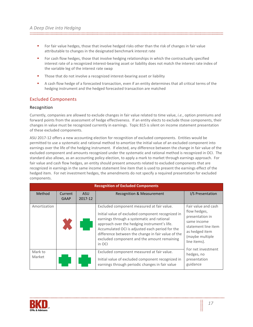**For fair value hedges, those that involve hedged risks other than the risk of changes in fair value** attributable to changes in the designated benchmark interest rate

For cash flow hedges, those that involve hedging relationships in which the contractually specified interest rate of a recognized interest-bearing asset or liability does not match the interest rate index of the variable leg of the interest rate swap

- **Those that do not involve a recognized interest-bearing asset or liability**
- A cash flow hedge of a forecasted transaction, even if an entity determines that all critical terms of the hedging instrument and the hedged forecasted transaction are matched

## Excluded Components

#### Recognition

Currently, companies are allowed to exclude changes in fair value related to time value, *i.e.*, option premiums and forward points from the assessment of hedge effectiveness. If an entity elects to exclude those components, their changes in value must be recognized currently in earnings. Topic 815 is silent on income statement presentation of these excluded components.

ASU 2017-12 offers a new accounting election for recognition of excluded components. Entities would be permitted to use a systematic and rational method to amortize the initial value of an excluded component into earnings over the life of the hedging instrument. If elected, any difference between the change in fair value of the excluded component and amounts recognized under the systematic and rational method is recognized in OCI. The standard also allows, as an accounting policy election, to apply a mark to market through earnings approach. For fair value and cash flow hedges, an entity should present amounts related to excluded components that are recognized in earnings in the same income statement line item that is used to present the earnings effect of the hedged item. For net investment hedges, the amendments do not specify a required presentation for excluded components.

| <b>Recognition of Excluded Components</b> |                        |                       |                                                                                                                                                                                                                                                                                                                                                                 |                                                                                                                                                                          |
|-------------------------------------------|------------------------|-----------------------|-----------------------------------------------------------------------------------------------------------------------------------------------------------------------------------------------------------------------------------------------------------------------------------------------------------------------------------------------------------------|--------------------------------------------------------------------------------------------------------------------------------------------------------------------------|
| Method                                    | Current<br><b>GAAP</b> | <b>ASU</b><br>2017-12 | <b>Recognition &amp; Measurement</b>                                                                                                                                                                                                                                                                                                                            | I/S Presentation                                                                                                                                                         |
| Amortization                              |                        |                       | Excluded component measured at fair value.<br>Initial value of excluded component recognized in<br>earnings through a systematic and rational<br>approach over the hedging instrument's life.<br>Accumulated OCI is adjusted each period for the<br>difference between the change in fair value of the<br>excluded component and the amount remaining<br>in OCI | Fair value and cash<br>flow hedges,<br>presentation in<br>same income<br>statement line item<br>as hedged item<br>(maybe multiple)<br>line items).<br>For net investment |
| Mark to<br>Market                         |                        |                       | Excluded component measured at fair value.<br>Initial value of excluded component recognized in<br>earnings through periodic changes in fair value                                                                                                                                                                                                              | hedges, no<br>presentation<br>guidance                                                                                                                                   |

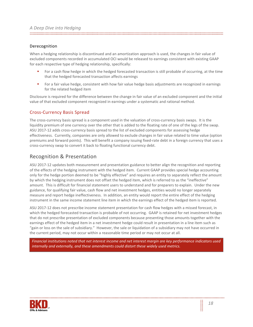#### Derecognition

When a hedging relationship is discontinued and an amortization approach is used, the changes in fair value of excluded components recorded in accumulated OCI would be released to earnings consistent with existing GAAP for each respective type of hedging relationship, specifically:

- For a cash flow hedge in which the hedged forecasted transaction is still probable of occurring, at the time that the hedged forecasted transaction affects earnings
- For a fair value hedge, consistent with how fair value hedge basis adjustments are recognized in earnings for the related hedged item

Disclosure is required for the difference between the change in fair value of an excluded component and the initial value of that excluded component recognized in earnings under a systematic and rational method.

#### Cross-Currency Basis Spread

The cross-currency basis spread is a component used in the valuation of cross-currency basis swaps. It is the liquidity premium of one currency over the other that is added to the floating rate of one of the legs of the swap. ASU 2017-12 adds cross-currency basis spread to the list of excluded components for assessing hedge effectiveness. Currently, companies are only allowed to exclude changes in fair value related to time value (option premiums and forward points). This will benefit a company issuing fixed-rate debt in a foreign currency that uses a cross-currency swap to convert it back to floating functional currency debt.

## Recognition & Presentation

ASU 2017-12 updates both measurement and presentation guidance to better align the recognition and reporting of the effects of the hedging instrument with the hedged item. Current GAAP provides special hedge accounting only for the hedge portion deemed to be "highly effective" and requires an entity to separately reflect the amount by which the hedging instrument does not offset the hedged item, which is referred to as the "ineffective" amount. This is difficult for financial statement users to understand and for preparers to explain. Under the new guidance, for qualifying fair value, cash flow and net investment hedges, entities would no longer separately measure and report hedge ineffectiveness. In addition, an entity would report the entire effect of the hedging instrument in the same income statement line item in which the earnings effect of the hedged item is reported.

ASU 2017-12 does not prescribe income statement presentation for cash flow hedges with a missed forecast, in which the hedged forecasted transaction is probable of not occurring. GAAP is retained for net investment hedges that do not prescribe presentation of excluded components because presenting those amounts together with the earnings effect of the hedged item in a net investment hedge could result in presentation in a line item such as "gain or loss on the sale of subsidiary." However, the sale or liquidation of a subsidiary may not have occurred in the current period, may not occur within a reasonable time period or may not occur at all.

*Financial institutions noted that net interest income and net interest margin are key performance indicators used internally and externally, and these amendments could distort these widely used metrics.*

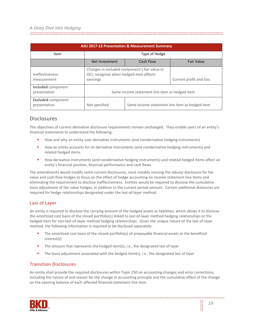| <b>ASU 2017-12 Presentation &amp; Measurement Summary</b> |                |                                                                                          |  |  |  |
|-----------------------------------------------------------|----------------|------------------------------------------------------------------------------------------|--|--|--|
| Item                                                      | Type of Hedge  |                                                                                          |  |  |  |
|                                                           | Net Investment | Cash Flow                                                                                |  |  |  |
| Ineffectiveness<br>measurement                            | earnings       | Changes in included component's fair value in<br>OCI, recognize when hedged item affects |  |  |  |
| Included component<br>presentation                        |                | Same income statement line item as hedged item                                           |  |  |  |
| <b>Excluded</b> component<br>presentation                 | Not specified  | Same income statement line item as hedged item                                           |  |  |  |

## Disclosures

The objectives of current derivative disclosure requirements remain unchanged. They enable users of an entity's financial statements to understand the following:

- How and why an entity uses derivative instruments (and nonderivative hedging instruments)
- **How an entity accounts for its derivative instruments (and nonderivative hedging instruments) and** related hedged items
- **How derivative instruments (and nonderivative hedging instruments) and related hedged items affect an** entity's financial position, financial performance and cash flows

The amendments would modify some current disclosures, most notably revising the tabular disclosure for fair value and cash flow hedges to focus on the effect of hedge accounting on income statement line items and eliminating the requirement to disclose ineffectiveness. Entities would be required to disclose the cumulative basis adjustment of fair value hedges, in addition to the current period amount. Certain additional dislosures are required for hedge relationships designated under the last-of-layer method.

## Last of Layer

An entity is required to disclose the carrying amount of the hedged assets or liabilities, which allows it to disclose the amortized cost basis of the closed portfolio(s) linked to last-of-layer method hedging relationships or the hedged item for non-last-of-layer method hedging relationships. Given the unique nature of the last-of-layer method, the following information is required to be disclosed separately:

- The amortized cost basis of the closed portfolio(s) of prepayable financial assets or the beneficial interest(s)
- The amount that represents the hedged item(s), *i.e.*, the designated last of layer
- The basis adjustment associated with the hedged item(s), *i.e.*, the designated last of layer

## Transition Disclosures

An entity shall provide the required disclosures within Topic 250 on accounting changes and error corrections, including the nature of and reason for the change in accounting principle and the cumulative effect of the change on the opening balance of each affected financial statement line item.

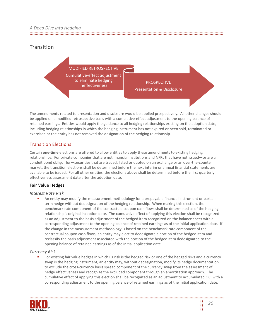# **Transition**



The amendments related to presentation and disclosure would be applied prospectively. All other changes should be applied on a modified retrospective basis with a cumulative-effect adjustment to the opening balance of retained earnings. Entities would apply the guidance to all hedging relationships existing on the adoption date, including hedging relationships in which the hedging instrument has not expired or been sold, terminated or exercised or the entity has not removed the designation of the hedging relationship.

## Transition Elections

Certain **one-time** elections are offered to allow entities to apply these amendments to existing hedging relationships. For private companies that are not financial institutions and NFPs that have not issued—or are a conduit bond obligor for—securities that are traded, listed or quoted on an exchange or an over-the-counter market, the transition elections shall be determined before the next interim or annual financial statements are available to be issued. For all other entities, the elections above shall be determined before the first quarterly effectiveness assessment date after the adoption date.

## Fair Value Hedges

#### *Interest Rate Risk*

 An entity may modify the measurement methodology for a prepayable financial instrument or partialterm hedge without dedesignation of the hedging relationship. When making this election, the benchmark rate component of the contractual coupon cash flows shall be determined as of the hedging relationship's original inception date. The cumulative effect of applying this election shall be recognized as an adjustment to the basis adjustment of the hedged item recognized on the balance sheet with a corresponding adjustment to the opening balance of retained earnings as of the initial application date. If the change in the measurement methodology is based on the benchmark rate component of the contractual coupon cash flows, an entity may elect to dedesignate a portion of the hedged item and reclassify the basis adjustment associated with the portion of the hedged item dedesignated to the opening balance of retained earnings as of the initial application date.

#### *Currency Risk*

 For existing fair value hedges in which FX risk is the hedged risk or one of the hedged risks and a currency swap is the hedging instrument, an entity may, without dedesignation, modify its hedge documentation to exclude the cross-currency basis spread component of the currency swap from the assessment of hedge effectiveness and recognize the excluded component through an amortization approach. The cumulative effect of applying this election shall be recognized as an adjustment to accumulated OCI with a corresponding adjustment to the opening balance of retained earnings as of the initial application date.

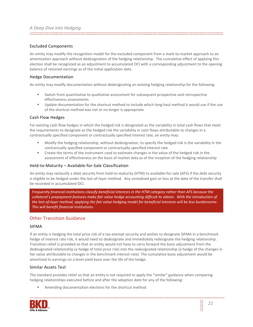#### Excluded Components

An entity may modify the recognition model for the excluded component from a mark-to-market approach to an amortization approach without dedesignation of the hedging relationship. The cumulative effect of applying this election shall be recognized as an adjustment to accumulated OCI with a corresponding adjustment to the opening balance of retained earnings as of the initial application date.

#### Hedge Documentation

An entity may modify documentation without dedesignating an existing hedging relationship for the following:

- Switch from quantitative to qualitative assessment for subsequent prospective and retrospective effectiveness assessments
- Update documentation for the shortcut method to include which long-haul method it would use if the use of the shortcut method was not or no longer is appropriate

#### Cash Flow Hedges

For existing cash flow hedges in which the hedged risk is designated as the variability in total cash flows that meet the requirements to designate as the hedged risk the variability in cash flows attributable to changes in a contractually specified component or contractually specified interest rate, an entity may:

- Modify the hedging relationship, without dedesignation, to specify the hedged risk is the variability in the contractually specified component or contractually specified interest rate
- Create the terms of the instrument used to estimate changes in the value of the hedged risk in the assessment of effectiveness on the basis of market data as of the inception of the hedging relationship

### Held-to-Maturity – Available-for-Sale Classification

An entity may reclassify a debt security from held-to-maturity (HTM) to available-for-sale (AFS) if the debt security is eligible to be hedged under the last-of-layer method. Any unrealized gain or loss at the date of the transfer shall be recorded in accumulated OCI.

*Frequently financial institutions classify beneficial interests in the HTM category rather than AFS because the*  collateral's prepayment features make fair value hedge accounting difficult to obtain. With the introduction of the last-of-layer method, applying the fair value hedging model for beneficial interests will be less burdensome. *This will benefit financial institutions.*

#### Other Transition Guidance

#### SIFMA

If an entity is hedging the total price risk of a tax-exempt security and wishes to designate SIFMA in a benchmark hedge of interest rate risk, it would need to dedesignate and immediately redesignate the hedging relationship. Transition relief is provided so that an entity would not have to carry forward the basis adjustment from the dedesignated relationship (a hedge of total price risk) into the redesignated relationship (a hedge of the changes in fair value attributable to changes in the benchmark interest rate). The cumulative basis adjustment would be amortized to earnings on a level-yield basis over the life of the hedge.

#### Similar Assets Test

The standard provides relief so that an entity is not required to apply the "similar" guidance when comparing hedging relationships executed before and after the adoption date for any of the following:

Amending documentation elections for the shortcut method

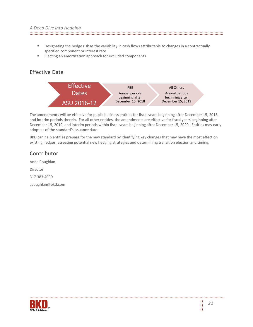- **BED 20** Designating the hedge risk as the variability in cash flows attributable to changes in a contractually specified component or interest rate
- **Electing an amortization approach for excluded components**

# Effective Date



The amendments will be effective for public business entities for fiscal years beginning after December 15, 2018, and interim periods therein. For all other entities, the amendments are effective for fiscal years beginning after December 15, 2019, and interim periods within fiscal years beginning after December 15, 2020. Entities may early adopt as of the standard's issuance date.

BKD can help entities prepare for the new standard by identifying key changes that may have the most effect on existing hedges, assessing potential new hedging strategies and determining transition election and timing.

| Contributor       |
|-------------------|
| Anne Coughlan     |
| Director          |
| 317.383.4000      |
| acoughlan@bkd.com |

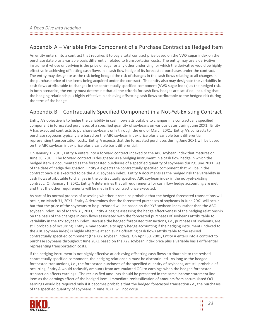| A Deep Dive into Hedging |  |
|--------------------------|--|
|                          |  |
|                          |  |

# <span id="page-22-0"></span>Appendix A – Variable Price Component of a Purchase Contract as Hedged Item

An entity enters into a contract that requires it to pay a total contract price based on the VWX sugar index on the purchase date plus a variable basis differential related to transportation costs. The entity may use a derivative instrument whose underlying is the price of sugar or any other underlying for which the derivative would be highly effective in achieving offsetting cash flows in a cash flow hedge of its forecasted purchases under the contract. The entity may designate as the risk being hedged the risk of changes in the cash flows relating to all changes in the purchase price of the items being acquired under the contract. The entity also may designate the variability in cash flows attributable to changes in the contractually specified component (VWX sugar index) as the hedged risk. In both scenarios, the entity must determine that all the criteria for cash flow hedges are satisfied, including that the hedging relationship is highly effective in achieving offsetting cash flows attributable to the hedged risk during the term of the hedge.

# <span id="page-22-1"></span>Appendix B – Contractually Specified Component in a Not-Yet-Existing Contract

Entity A's objective is to hedge the variability in cash flows attributable to changes in a contractually specified component in forecasted purchases of a specified quantity of soybeans on various dates during June 20X1. Entity A has executed contracts to purchase soybeans only through the end of March 20X1. Entity A's contracts to purchase soybeans typically are based on the ABC soybean index price plus a variable basis differential representing transportation costs. Entity A expects that the forecasted purchases during June 20X1 will be based on the ABC soybean index price plus a variable basis differential.

On January 1, 20X1, Entity A enters into a forward contract indexed to the ABC soybean index that matures on June 30, 20X1. The forward contract is designated as a hedging instrument in a cash flow hedge in which the hedged item is documented as the forecasted purchases of a specified quantity of soybeans during June 20X1. As of the date of hedge designation, Entity A expects the contractually specified component that will be in the contract once it is executed to be the ABC soybean index. Entity A documents as the hedged risk the variability in cash flows attributable to changes in the contractually specified ABC soybean index in the not-yet-existing contract. On January 1, 20X1, Entity A determines that all requirements for cash flow hedge accounting are met and that the other requirements will be met in the contract once executed.

As part of its normal process of assessing whether it remains probable that the hedged forecasted transactions will occur, on March 31, 20X1, Entity A determines that the forecasted purchases of soybeans in June 20X1 will occur but that the price of the soybeans to be purchased will be based on the XYZ soybean index rather than the ABC soybean index. As of March 31, 20X1, Entity A begins assessing the hedge effectiveness of the hedging relationship on the basis of the changes in cash flows associated with the forecasted purchases of soybeans attributable to variability in the XYZ soybean index. Because the hedged forecasted transactions, *i.e.*, purchases of soybeans, are still probable of occurring, Entity A may continue to apply hedge accounting if the hedging instrument (indexed to the ABC soybean index) is highly effective at achieving offsetting cash flows attributable to the revised contractually specified component (the XYZ soybean index). On April 30, 20X1, Entity A enters into a contract to purchase soybeans throughout June 20X1 based on the XYZ soybean index price plus a variable basis differential representing transportation costs.

If the hedging instrument is not highly effective at achieving offsetting cash flows attributable to the revised contractually specified component, the hedging relationship must be discontinued. As long as the hedged forecasted transactions, *i.e.*, the forecasted purchases of the specified quantity of soybeans, are still probable of occurring, Entity A would reclassify amounts from accumulated OCI to earnings when the hedged forecasted transaction affects earnings. The reclassified amounts should be presented in the same income statement line item as the earnings effect of the hedged item. Immediate reclassification of amounts from accumulated OCI earnings would be required only if it becomes probable that the hedged forecasted transaction *i.e.*, the purchases of the specified quantity of soybeans in June 20X1, will not occur.

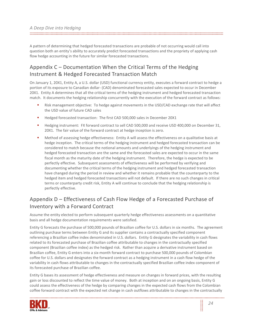A pattern of determining that hedged forecasted transactions are probable of not occurring would call into question both an entity's ability to accurately predict forecasted transactions and the propriety of applying cash flow hedge accounting in the future for similar forecasted transactions.

# Appendix C – Documentation When the Critical Terms of the Hedging Instrument & Hedged Forecasted Transaction Match

On January 1, 20X1, Entity A, a U.S. dollar (USD) functional currency entity, executes a forward contract to hedge a portion of its exposure to Canadian dollar- (CAD) denominated forecasted sales expected to occur in December 20X1. Entity A determines that all the critical terms of the hedging instrument and hedged forecasted transaction match. It documents the hedging relationship concurrently with the execution of the forward contract as follows:

- Risk management objective: To hedge against movements in the USD/CAD exchange rate that will affect the USD value of future CAD sales
- Hedged forecasted transaction: The first CAD 500,000 sales in December 20X1
- **Hedging instrument: FX forward contract to sell CAD 500,000 and receive USD 400,000 on December 31,** 20X1. The fair value of the forward contract at hedge inception is zero.
- Method of assessing hedge effectiveness: Entity A will assess the effectiveness on a qualitative basis at hedge inception. The critical terms of the hedging instrument and hedged forecasted transaction can be considered to match because the notional amounts and underlyings of the hedging instrument and hedged forecasted transaction are the same and the forecasted sales are expected to occur in the same fiscal month as the maturity date of the hedging instrument. Therefore, the hedge is expected to be perfectly effective. Subsequent assessments of effectiveness will be performed by verifying and documenting whether the critical terms of the hedging instrument and hedged forecasted transaction have changed during the period in review and whether it remains probable that the counterparty to the hedged item and hedged forecasted transactions will not default. If there are no such changes in critical terms or counterparty credit risk, Entity A will continue to conclude that the hedging relationship is perfectly effective.

# Appendix D – Effectiveness of Cash Flow Hedge of a Forecasted Purchase of Inventory with a Forward Contract

Assume the entity elected to perform subsequent quarterly hedge effectiveness assessments on a quantitative basis and all hedge documentation requirements were satisfied.

Entity G forecasts the purchase of 500,000 pounds of Brazilian coffee for U.S. dollars in six months. The agreement outlining purchase terms between Entity G and its supplier contains a contractually specified component referencing a Brazilian coffee index denominated in U.S. dollars. Entity G designates the variability in cash flows related to its forecasted purchase of Brazilian coffee attributable to changes in the contractually specified component (Brazilian coffee index) as the hedged risk. Rather than acquire a derivative instrument based on Brazilian coffee, Entity G enters into a six-month forward contract to purchase 500,000 pounds of Colombian coffee for U.S. dollars and designates the forward contract as a hedging instrument in a cash flow hedge of the variability in cash flows attributable to changes in the contractually specified Brazilian coffee index component of its forecasted purchase of Brazilian coffee.

Entity G bases its assessment of hedge effectiveness and measure on changes in forward prices, with the resulting gain or loss discounted to reflect the time value of money. Both at inception and on an ongoing basis, Entity G could assess the effectiveness of the hedge by comparing changes in the expected cash flows from the Colombian coffee forward contract with the expected net change in cash outflows attributable to changes in the contractually

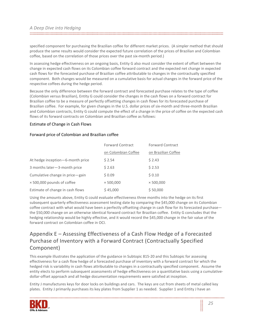| A Deep Dive into Hedging |  |
|--------------------------|--|
|                          |  |
|                          |  |

specified component for purchasing the Brazilian coffee for different market prices. (A simpler method that should produce the same results would consider the expected future correlation of the prices of Brazilian and Colombian coffee, based on the correlation of those prices over the past six-month period.)

In assessing hedge effectiveness on an ongoing basis, Entity G also must consider the extent of offset between the change in expected cash flows on its Colombian coffee forward contract and the expected net change in expected cash flows for the forecasted purchase of Brazilian coffee attributable to changes in the contractually specified component. Both changes would be measured on a cumulative basis for actual changes in the forward price of the respective coffees during the hedge period.

Because the only difference between the forward contract and forecasted purchase relates to the type of coffee (Colombian versus Brazilian), Entity G could consider the changes in the cash flows on a forward contract for Brazilian coffee to be a measure of perfectly offsetting changes in cash flows for its forecasted purchase of Brazilian coffee. For example, for given changes in the U.S. dollar prices of six-month and three-month Brazilian and Colombian contracts, Entity G could compute the effect of a change in the price of coffee on the expected cash flows of its forward contracts on Colombian and Brazilian coffee as follows:

#### Estimate of Change in Cash Flows

#### Forward price of Colombian and Brazilian coffee

|                                  | <b>Forward Contract</b> | <b>Forward Contract</b> |
|----------------------------------|-------------------------|-------------------------|
|                                  | on Colombian Coffee     | on Brazilian Coffee     |
| At hedge inception-6-month price | \$2.54                  | \$2.43                  |
| 3 months later-3-month price     | \$2.63                  | \$2.53                  |
| Cumulative change in price-gain  | \$0.09                  | \$0.10                  |
| × 500,000 pounds of coffee       | × 500,000               | $\times 500,000$        |
| Estimate of change in cash flows | \$45,000                | \$50,000                |

Using the amounts above, Entity G could evaluate effectiveness three months into the hedge on its first subsequent quarterly effectiveness assessment testing date by comparing the \$45,000 change on its Colombian coffee contract with what would have been a perfectly offsetting change in cash flow for its forecasted purchase the \$50,000 change on an otherwise identical forward contract for Brazilian coffee. Entity G concludes that the hedging relationship would be highly effective, and it would record the \$45,000 change in the fair value of the forward contract on Colombian coffee in OCI.

# <span id="page-24-0"></span>Appendix E – Assessing Effectiveness of a Cash Flow Hedge of a Forecasted Purchase of Inventory with a Forward Contract (Contractually Specified Component)

This example illustrates the application of the guidance in Subtopic 815-20 and this Subtopic for assessing effectiveness for a cash flow hedge of a forecasted purchase of inventory with a forward contract for which the hedged risk is variability in cash flows attributable to changes in a contractually specified component. Assume the entity elects to perform subsequent assessments of hedge effectiveness on a quantitative basis using a cumulativedollar-offset approach and all hedge documentation requirements were satisfied at inception.

Entity J manufactures keys for door locks on buildings and cars. The keys are cut from sheets of metal called key plates. Entity J primarily purchases its key plates from Supplier 1 as needed. Supplier 1 and Entity J have an